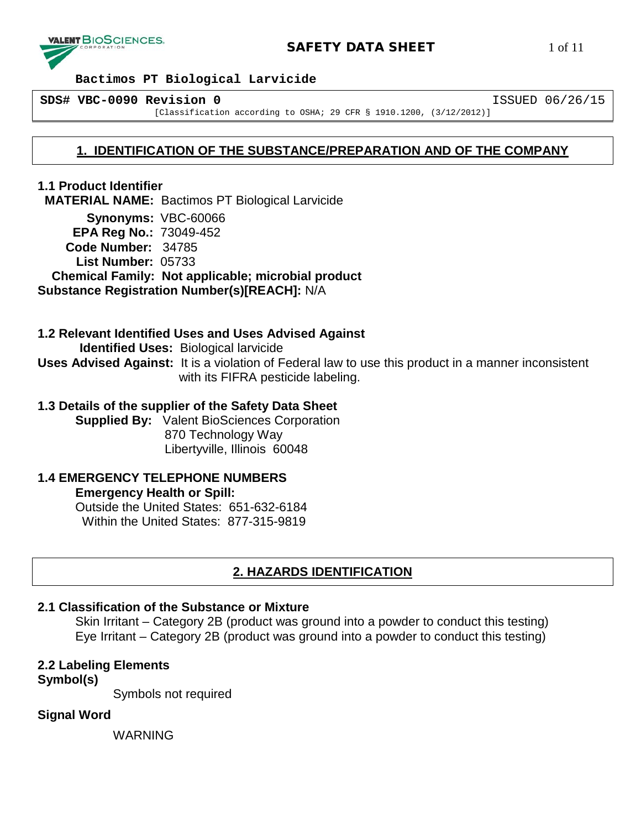

**SDS# VBC-0090 Revision 0** ISSUED 06/26/15

[Classification according to OSHA; 29 CFR § 1910.1200, (3/12/2012)]

# **1. IDENTIFICATION OF THE SUBSTANCE/PREPARATION AND OF THE COMPANY**

**1.1 Product Identifier MATERIAL NAME:** Bactimos PT Biological Larvicide **Synonyms:** VBC-60066

 **EPA Reg No.:** 73049-452 **Code Number:** 34785 **List Number:** 05733  **Chemical Family: Not applicable; microbial product Substance Registration Number(s)[REACH]:** N/A

**1.2 Relevant Identified Uses and Uses Advised Against Identified Uses:** Biological larvicide **Uses Advised Against:** It is a violation of Federal law to use this product in a manner inconsistent with its FIFRA pesticide labeling.

## **1.3 Details of the supplier of the Safety Data Sheet**

**Supplied By:** Valent BioSciences Corporation 870 Technology Way Libertyville, Illinois 60048

#### **1.4 EMERGENCY TELEPHONE NUMBERS Emergency Health or Spill:**

Outside the United States: 651-632-6184 Within the United States: 877-315-9819

# **2. HAZARDS IDENTIFICATION**

## **2.1 Classification of the Substance or Mixture**

Skin Irritant – Category 2B (product was ground into a powder to conduct this testing) Eye Irritant – Category 2B (product was ground into a powder to conduct this testing)

**2.2 Labeling Elements**

**Symbol(s)**

Symbols not required

# **Signal Word**

WARNING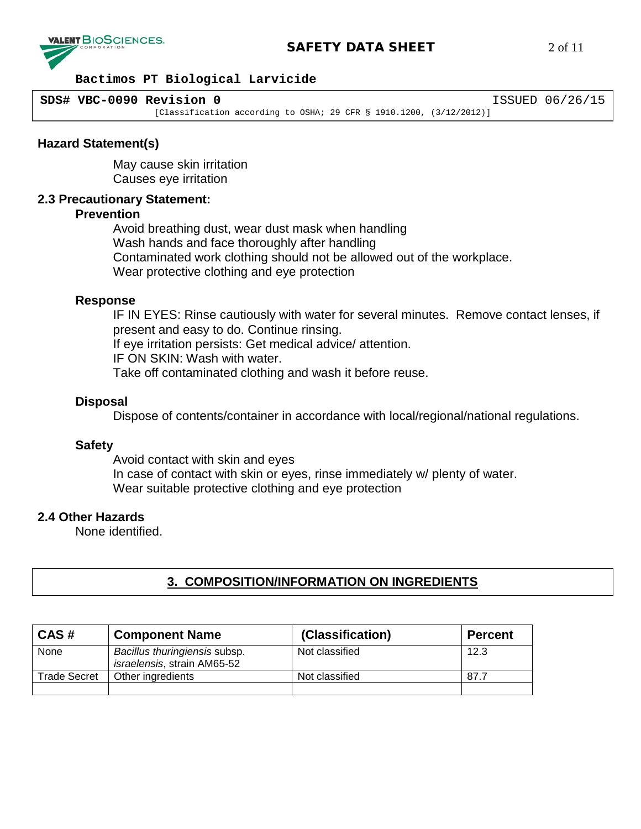

# **SAFETY DATA SHEET** 2 of 11

#### **Bactimos PT Biological Larvicide**

**SDS# VBC-0090 Revision 0** ISSUED 06/26/15

[Classification according to OSHA; 29 CFR § 1910.1200, (3/12/2012)]

### **Hazard Statement(s)**

May cause skin irritation Causes eye irritation

#### **2.3 Precautionary Statement:**

#### **Prevention**

Avoid breathing dust, wear dust mask when handling Wash hands and face thoroughly after handling Contaminated work clothing should not be allowed out of the workplace. Wear protective clothing and eye protection

#### **Response**

IF IN EYES: Rinse cautiously with water for several minutes. Remove contact lenses, if present and easy to do. Continue rinsing. If eye irritation persists: Get medical advice/ attention.

IF ON SKIN: Wash with water.

Take off contaminated clothing and wash it before reuse.

#### **Disposal**

Dispose of contents/container in accordance with local/regional/national regulations.

#### **Safety**

Avoid contact with skin and eyes In case of contact with skin or eyes, rinse immediately w/ plenty of water. Wear suitable protective clothing and eye protection

#### **2.4 Other Hazards**

None identified.

# **3. COMPOSITION/INFORMATION ON INGREDIENTS**

| CAS#                | <b>Component Name</b>                                        | (Classification) | <b>Percent</b> |
|---------------------|--------------------------------------------------------------|------------------|----------------|
| None                | Bacillus thuringiensis subsp.<br>israelensis, strain AM65-52 | Not classified   | 12.3           |
| <b>Trade Secret</b> | Other ingredients                                            | Not classified   | 87.7           |
|                     |                                                              |                  |                |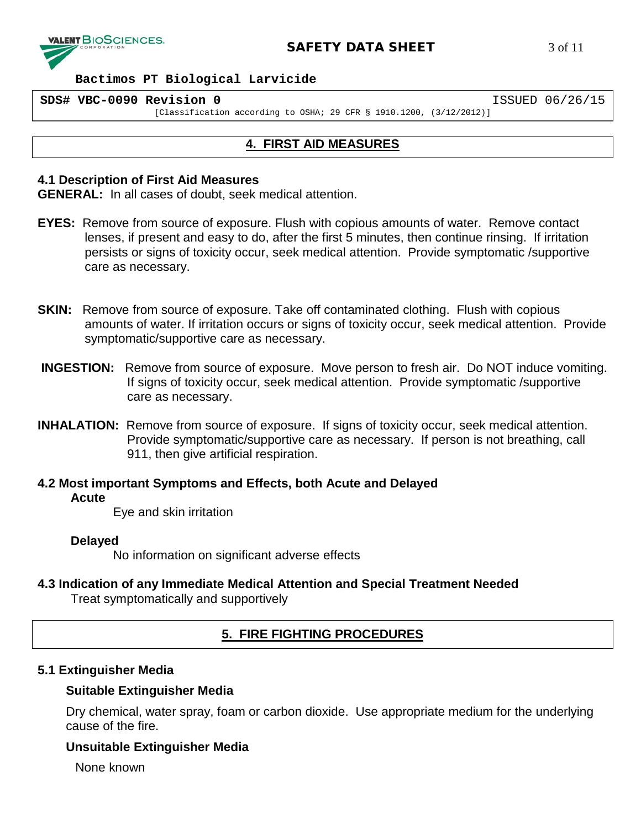

#### **SDS# VBC-0090 Revision 0** ISSUED 06/26/15

[Classification according to OSHA; 29 CFR § 1910.1200, (3/12/2012)]

# **4. FIRST AID MEASURES**

### **4.1 Description of First Aid Measures**

**GENERAL:** In all cases of doubt, seek medical attention.

- **EYES:** Remove from source of exposure. Flush with copious amounts of water. Remove contact lenses, if present and easy to do, after the first 5 minutes, then continue rinsing. If irritation persists or signs of toxicity occur, seek medical attention. Provide symptomatic /supportive care as necessary.
- **SKIN:** Remove from source of exposure. Take off contaminated clothing. Flush with copious amounts of water. If irritation occurs or signs of toxicity occur, seek medical attention. Provide symptomatic/supportive care as necessary.
- **INGESTION:** Remove from source of exposure. Move person to fresh air. Do NOT induce vomiting. If signs of toxicity occur, seek medical attention. Provide symptomatic /supportive care as necessary.
- **INHALATION:** Remove from source of exposure. If signs of toxicity occur, seek medical attention. Provide symptomatic/supportive care as necessary. If person is not breathing, call 911, then give artificial respiration.

**4.2 Most important Symptoms and Effects, both Acute and Delayed**

## **Acute**

Eye and skin irritation

## **Delayed**

No information on significant adverse effects

## **4.3 Indication of any Immediate Medical Attention and Special Treatment Needed** Treat symptomatically and supportively

# **5. FIRE FIGHTING PROCEDURES**

# **5.1 Extinguisher Media**

## **Suitable Extinguisher Media**

Dry chemical, water spray, foam or carbon dioxide. Use appropriate medium for the underlying cause of the fire.

# **Unsuitable Extinguisher Media**

None known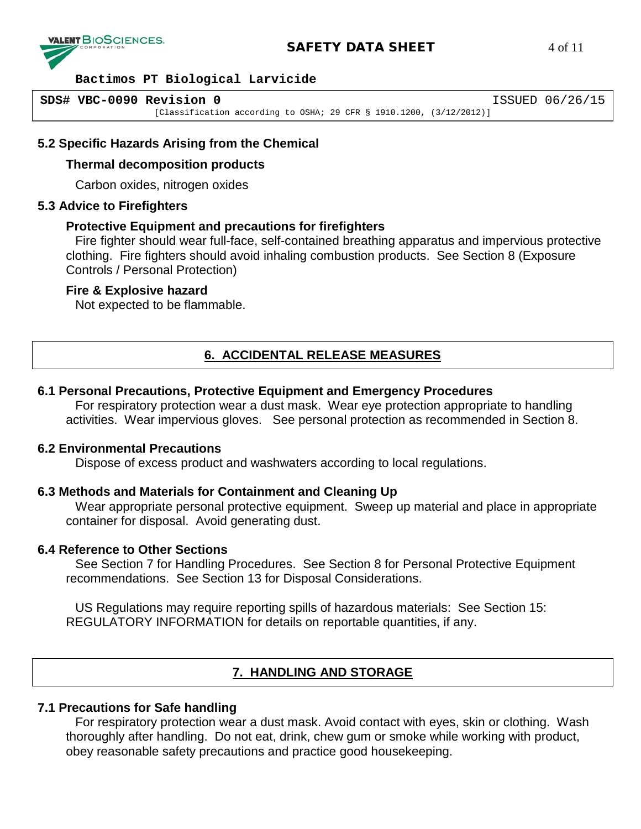

# **SAFETY DATA SHEET** 4 of 11

#### **Bactimos PT Biological Larvicide**

```
SDS# VBC-0090 Revision 0 ISSUED 06/26/15
 [Classification according to OSHA; 29 CFR § 1910.1200, (3/12/2012)]
```
## **5.2 Specific Hazards Arising from the Chemical**

#### **Thermal decomposition products**

Carbon oxides, nitrogen oxides

#### **5.3 Advice to Firefighters**

#### **Protective Equipment and precautions for firefighters**

Fire fighter should wear full-face, self-contained breathing apparatus and impervious protective clothing. Fire fighters should avoid inhaling combustion products. See Section 8 (Exposure Controls / Personal Protection)

#### **Fire & Explosive hazard**

Not expected to be flammable.

# **6. ACCIDENTAL RELEASE MEASURES**

## **6.1 Personal Precautions, Protective Equipment and Emergency Procedures**

For respiratory protection wear a dust mask. Wear eye protection appropriate to handling activities. Wear impervious gloves. See personal protection as recommended in Section 8.

#### **6.2 Environmental Precautions**

Dispose of excess product and washwaters according to local regulations.

## **6.3 Methods and Materials for Containment and Cleaning Up**

Wear appropriate personal protective equipment. Sweep up material and place in appropriate container for disposal. Avoid generating dust.

#### **6.4 Reference to Other Sections**

See Section 7 for Handling Procedures. See Section 8 for Personal Protective Equipment recommendations. See Section 13 for Disposal Considerations.

US Regulations may require reporting spills of hazardous materials: See Section 15: REGULATORY INFORMATION for details on reportable quantities, if any.

# **7. HANDLING AND STORAGE**

## **7.1 Precautions for Safe handling**

For respiratory protection wear a dust mask. Avoid contact with eyes, skin or clothing. Wash thoroughly after handling. Do not eat, drink, chew gum or smoke while working with product, obey reasonable safety precautions and practice good housekeeping.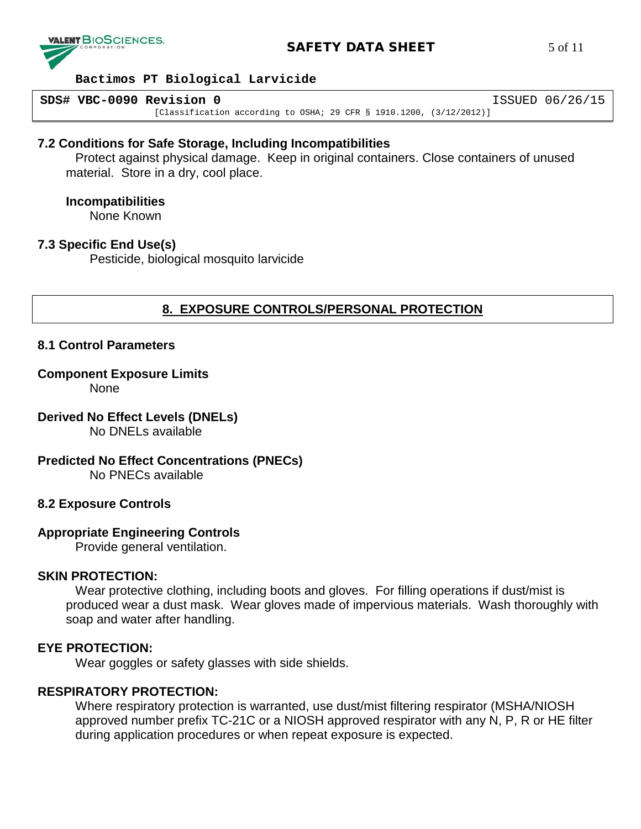

# **SAFETY DATA SHEET** 5 of 11

#### **Bactimos PT Biological Larvicide**

**SDS# VBC-0090 Revision 0** ISSUED 06/26/15 [Classification according to OSHA; 29 CFR § 1910.1200, (3/12/2012)]

### **7.2 Conditions for Safe Storage, Including Incompatibilities**

Protect against physical damage. Keep in original containers. Close containers of unused material. Store in a dry, cool place.

#### **Incompatibilities**

None Known

## **7.3 Specific End Use(s)**

Pesticide, biological mosquito larvicide

# **8. EXPOSURE CONTROLS/PERSONAL PROTECTION**

### **8.1 Control Parameters**

#### **Component Exposure Limits**

None

# **Derived No Effect Levels (DNELs)**

No DNELs available

# **Predicted No Effect Concentrations (PNECs)**

No PNECs available

## **8.2 Exposure Controls**

## **Appropriate Engineering Controls**

Provide general ventilation.

## **SKIN PROTECTION:**

Wear protective clothing, including boots and gloves. For filling operations if dust/mist is produced wear a dust mask. Wear gloves made of impervious materials. Wash thoroughly with soap and water after handling.

### **EYE PROTECTION:**

Wear goggles or safety glasses with side shields.

## **RESPIRATORY PROTECTION:**

Where respiratory protection is warranted, use dust/mist filtering respirator (MSHA/NIOSH approved number prefix TC-21C or a NIOSH approved respirator with any N, P, R or HE filter during application procedures or when repeat exposure is expected.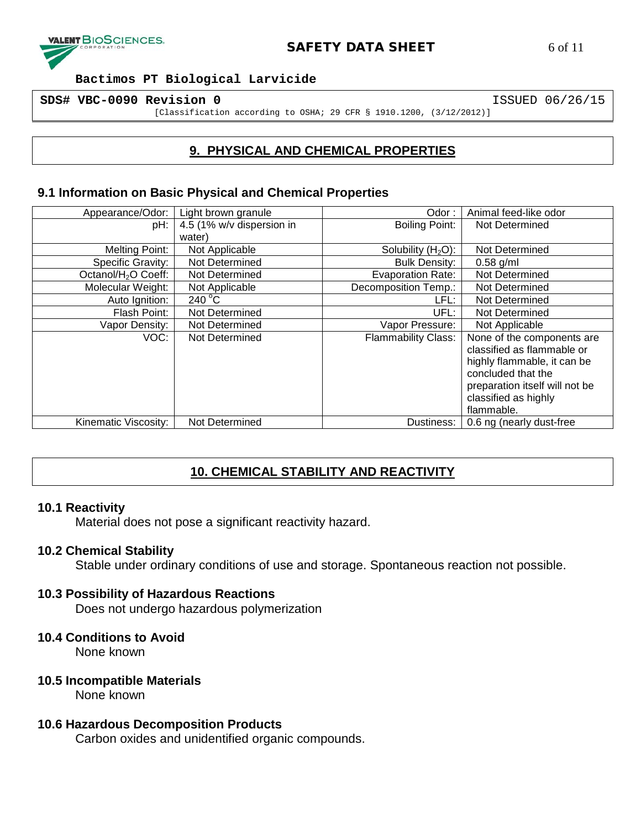

**SDS# VBC-0090 Revision 0** ISSUED 06/26/15

[Classification according to OSHA; 29 CFR § 1910.1200, (3/12/2012)]

# **9. PHYSICAL AND CHEMICAL PROPERTIES**

## **9.1 Information on Basic Physical and Chemical Properties**

| Appearance/Odor:                | Light brown granule       | Odor:                      | Animal feed-like odor          |
|---------------------------------|---------------------------|----------------------------|--------------------------------|
| pH:                             | 4.5 (1% w/v dispersion in | <b>Boiling Point:</b>      | Not Determined                 |
|                                 | water)                    |                            |                                |
| Melting Point:                  | Not Applicable            | Solubility $(H2O)$ :       | Not Determined                 |
| Specific Gravity:               | Not Determined            | <b>Bulk Density:</b>       | $0.58$ g/ml                    |
| Octanol/H <sub>2</sub> O Coeff: | Not Determined            | <b>Evaporation Rate:</b>   | Not Determined                 |
| Molecular Weight:               | Not Applicable            | Decomposition Temp.:       | Not Determined                 |
| Auto Ignition:                  | 240 $\degree$ C           | LFL:                       | Not Determined                 |
| Flash Point:                    | Not Determined            | UFL:                       | Not Determined                 |
| Vapor Density:                  | Not Determined            | Vapor Pressure:            | Not Applicable                 |
| VOC:                            | Not Determined            | <b>Flammability Class:</b> | None of the components are     |
|                                 |                           |                            | classified as flammable or     |
|                                 |                           |                            | highly flammable, it can be    |
|                                 |                           |                            | concluded that the             |
|                                 |                           |                            | preparation itself will not be |
|                                 |                           |                            | classified as highly           |
|                                 |                           |                            | flammable.                     |
| Kinematic Viscosity:            | Not Determined            | Dustiness:                 | 0.6 ng (nearly dust-free       |

# **10. CHEMICAL STABILITY AND REACTIVITY**

## **10.1 Reactivity**

Material does not pose a significant reactivity hazard.

## **10.2 Chemical Stability**

Stable under ordinary conditions of use and storage. Spontaneous reaction not possible.

## **10.3 Possibility of Hazardous Reactions**

Does not undergo hazardous polymerization

## **10.4 Conditions to Avoid**

None known

## **10.5 Incompatible Materials**

None known

## **10.6 Hazardous Decomposition Products**

Carbon oxides and unidentified organic compounds.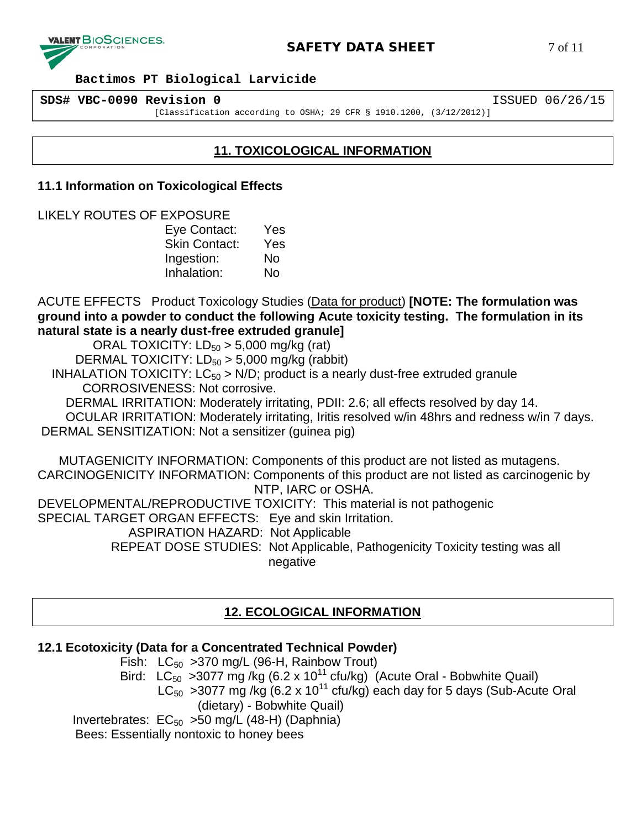

**SDS# VBC-0090 Revision 0** ISSUED 06/26/15

[Classification according to OSHA; 29 CFR § 1910.1200, (3/12/2012)]

# **11. TOXICOLOGICAL INFORMATION**

## **11.1 Information on Toxicological Effects**

LIKELY ROUTES OF EXPOSURE

Eye Contact: Yes Skin Contact: Yes Ingestion: No Inhalation: No

ACUTE EFFECTS Product Toxicology Studies (Data for product) **[NOTE: The formulation was ground into a powder to conduct the following Acute toxicity testing. The formulation in its natural state is a nearly dust-free extruded granule]**

ORAL TOXICITY:  $LD_{50} > 5,000$  mg/kg (rat)

DERMAL TOXICITY:  $LD_{50} > 5,000$  mg/kg (rabbit)

INHALATION TOXICITY:  $LC_{50}$  > N/D; product is a nearly dust-free extruded granule CORROSIVENESS: Not corrosive.

DERMAL IRRITATION: Moderately irritating, PDII: 2.6; all effects resolved by day 14.

 OCULAR IRRITATION: Moderately irritating, Iritis resolved w/in 48hrs and redness w/in 7 days. DERMAL SENSITIZATION: Not a sensitizer (guinea pig)

 MUTAGENICITY INFORMATION: Components of this product are not listed as mutagens. CARCINOGENICITY INFORMATION: Components of this product are not listed as carcinogenic by NTP, IARC or OSHA.

DEVELOPMENTAL/REPRODUCTIVE TOXICITY: This material is not pathogenic

SPECIAL TARGET ORGAN EFFECTS: Eye and skin Irritation.

ASPIRATION HAZARD: Not Applicable

 REPEAT DOSE STUDIES: Not Applicable, Pathogenicity Toxicity testing was all negative

# **12. ECOLOGICAL INFORMATION**

# **12.1 Ecotoxicity (Data for a Concentrated Technical Powder)**

Fish:  $LC_{50}$  > 370 mg/L (96-H, Rainbow Trout) Bird:  $LC_{50}$  >3077 mg /kg (6.2 x 10<sup>11</sup> cfu/kg) (Acute Oral - Bobwhite Quail)  $LC_{50}$  >3077 mg/kg (6.2 x 10<sup>11</sup> cfu/kg) each day for 5 days (Sub-Acute Oral (dietary) - Bobwhite Quail) Invertebrates:  $EC_{50}$  >50 mg/L (48-H) (Daphnia) Bees: Essentially nontoxic to honey bees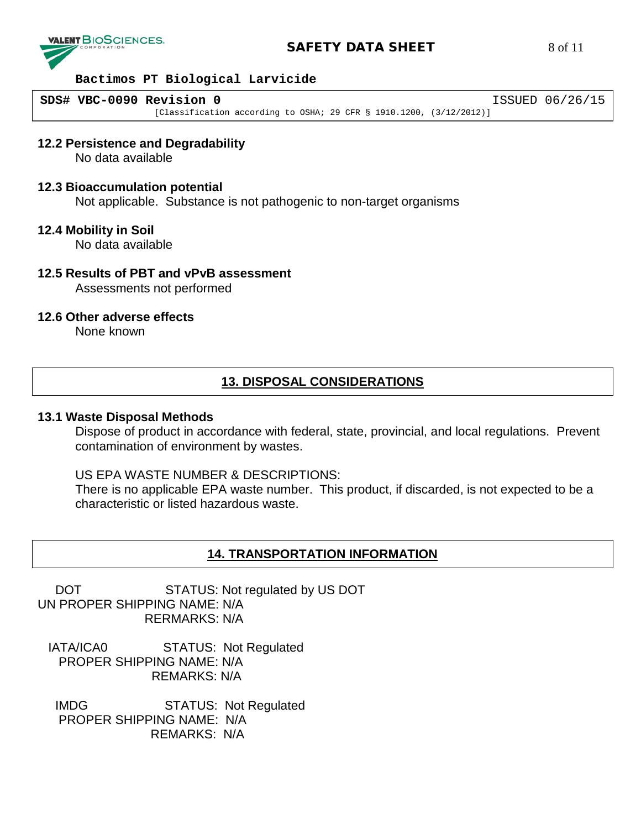

# **SAFETY DATA SHEET** 8 of 11

#### **Bactimos PT Biological Larvicide**

**SDS# VBC-0090 Revision 0** ISSUED 06/26/15 [Classification according to OSHA; 29 CFR § 1910.1200, (3/12/2012)]

#### **12.2 Persistence and Degradability**

No data available

#### **12.3 Bioaccumulation potential**

Not applicable. Substance is not pathogenic to non-target organisms

#### **12.4 Mobility in Soil**

No data available

# **12.5 Results of PBT and vPvB assessment**

Assessments not performed

### **12.6 Other adverse effects**

None known

# **13. DISPOSAL CONSIDERATIONS**

#### **13.1 Waste Disposal Methods**

Dispose of product in accordance with federal, state, provincial, and local regulations. Prevent contamination of environment by wastes.

### US EPA WASTE NUMBER & DESCRIPTIONS:

There is no applicable EPA waste number. This product, if discarded, is not expected to be a characteristic or listed hazardous waste.

## **14. TRANSPORTATION INFORMATION**

DOT STATUS: Not regulated by US DOT UN PROPER SHIPPING NAME: N/A RERMARKS: N/A

 IATA/ICA0 STATUS: Not Regulated PROPER SHIPPING NAME: N/A REMARKS: N/A

 IMDG STATUS: Not Regulated PROPER SHIPPING NAME: N/A REMARKS: N/A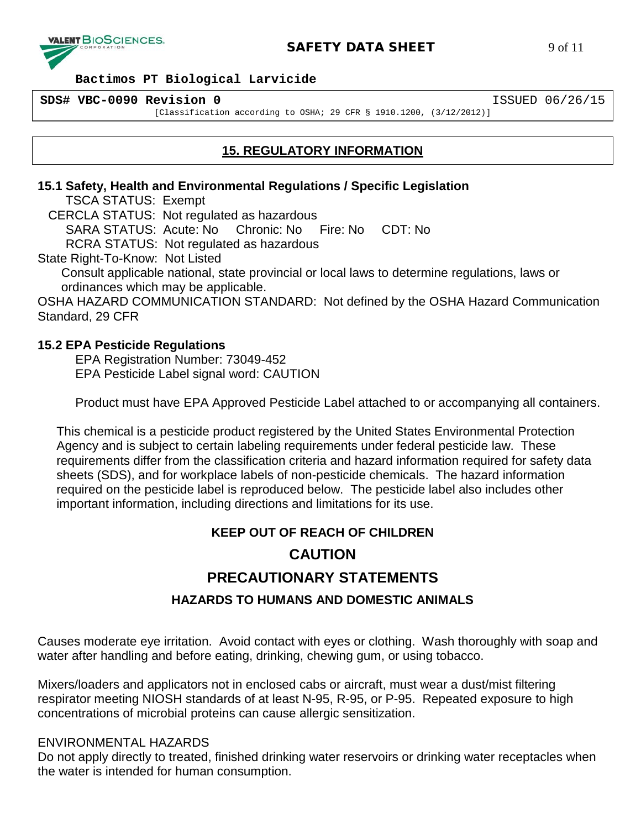

**SDS# VBC-0090 Revision 0** ISSUED 06/26/15

[Classification according to OSHA; 29 CFR § 1910.1200, (3/12/2012)]

# **15. REGULATORY INFORMATION**

## **15.1 Safety, Health and Environmental Regulations / Specific Legislation**

TSCA STATUS: Exempt

CERCLA STATUS: Not regulated as hazardous

SARA STATUS: Acute: No Chronic: No Fire: No CDT: No

RCRA STATUS: Not regulated as hazardous

State Right-To-Know: Not Listed

Consult applicable national, state provincial or local laws to determine regulations, laws or ordinances which may be applicable.

OSHA HAZARD COMMUNICATION STANDARD: Not defined by the OSHA Hazard Communication Standard, 29 CFR

# **15.2 EPA Pesticide Regulations**

EPA Registration Number: 73049-452 EPA Pesticide Label signal word: CAUTION

Product must have EPA Approved Pesticide Label attached to or accompanying all containers.

This chemical is a pesticide product registered by the United States Environmental Protection Agency and is subject to certain labeling requirements under federal pesticide law. These requirements differ from the classification criteria and hazard information required for safety data sheets (SDS), and for workplace labels of non-pesticide chemicals. The hazard information required on the pesticide label is reproduced below. The pesticide label also includes other important information, including directions and limitations for its use.

# **KEEP OUT OF REACH OF CHILDREN**

# **CAUTION**

# **PRECAUTIONARY STATEMENTS**

# **HAZARDS TO HUMANS AND DOMESTIC ANIMALS**

Causes moderate eye irritation. Avoid contact with eyes or clothing. Wash thoroughly with soap and water after handling and before eating, drinking, chewing gum, or using tobacco.

Mixers/loaders and applicators not in enclosed cabs or aircraft, must wear a dust/mist filtering respirator meeting NIOSH standards of at least N-95, R-95, or P-95. Repeated exposure to high concentrations of microbial proteins can cause allergic sensitization.

# ENVIRONMENTAL HAZARDS

Do not apply directly to treated, finished drinking water reservoirs or drinking water receptacles when the water is intended for human consumption.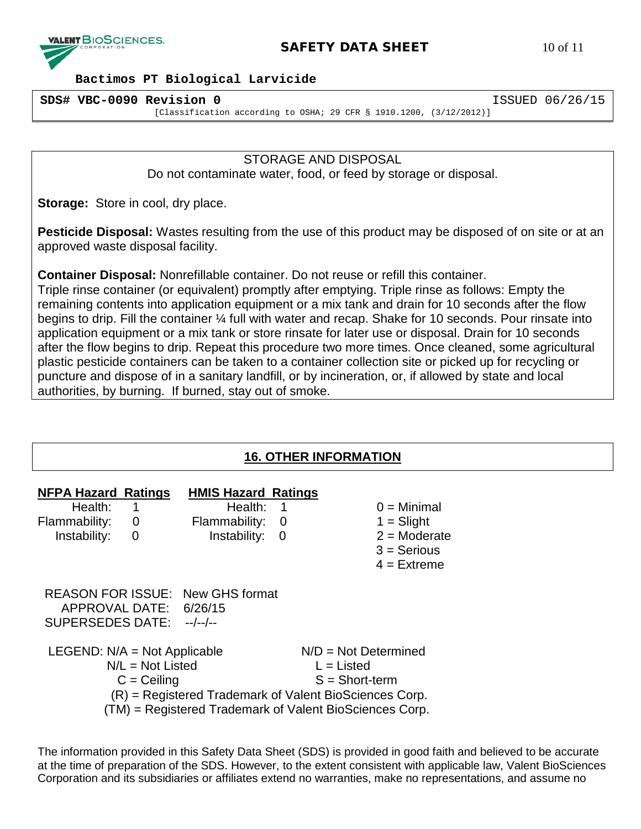

# **SAFETY DATA SHEET** 10 of 11

#### **Bactimos PT Biological Larvicide**

**SDS# VBC-0090 Revision 0** ISSUED 06/26/15 [Classification according to OSHA; 29 CFR § 1910.1200, (3/12/2012)]

> STORAGE AND DISPOSAL Do not contaminate water, food, or feed by storage or disposal.

**Storage:** Store in cool, dry place.

**Pesticide Disposal:** Wastes resulting from the use of this product may be disposed of on site or at an approved waste disposal facility.

**Container Disposal:** Nonrefillable container. Do not reuse or refill this container.

Triple rinse container (or equivalent) promptly after emptying. Triple rinse as follows: Empty the remaining contents into application equipment or a mix tank and drain for 10 seconds after the flow begins to drip. Fill the container ¼ full with water and recap. Shake for 10 seconds. Pour rinsate into application equipment or a mix tank or store rinsate for later use or disposal. Drain for 10 seconds after the flow begins to drip. Repeat this procedure two more times. Once cleaned, some agricultural plastic pesticide containers can be taken to a container collection site or picked up for recycling or puncture and dispose of in a sanitary landfill, or by incineration, or, if allowed by state and local authorities, by burning. If burned, stay out of smoke.

# **16. OTHER INFORMATION**

| <b>NFPA Hazard Ratings</b><br>Health:<br>Flammability:<br>Instability:                                                                                                                     | 1<br>0<br>0 | <b>HMIS Hazard Ratings</b><br>Health:<br>Flammability:<br>Instability: | 1<br>0<br>0                                                |  | $0 =$ Minimal<br>$1 =$ Slight<br>$2 =$ Moderate<br>$3 =$ Serious<br>$4$ = Extreme |
|--------------------------------------------------------------------------------------------------------------------------------------------------------------------------------------------|-------------|------------------------------------------------------------------------|------------------------------------------------------------|--|-----------------------------------------------------------------------------------|
| APPROVAL DATE: 6/26/15<br>SUPERSEDES DATE: --/--/--                                                                                                                                        |             | <b>REASON FOR ISSUE: New GHS format</b>                                |                                                            |  |                                                                                   |
| LEGEND: $N/A = Not$ Applicable<br>$N/L = Not$ Listed<br>$C =$ Ceiling<br>(R) = Registered Trademark of Valent BioSciences Corp.<br>(TM) = Registered Trademark of Valent BioSciences Corp. |             |                                                                        | $N/D = Not Determined$<br>$L =$ Listed<br>$S = Short-term$ |  |                                                                                   |

The information provided in this Safety Data Sheet (SDS) is provided in good faith and believed to be accurate at the time of preparation of the SDS. However, to the extent consistent with applicable law, Valent BioSciences Corporation and its subsidiaries or affiliates extend no warranties, make no representations, and assume no